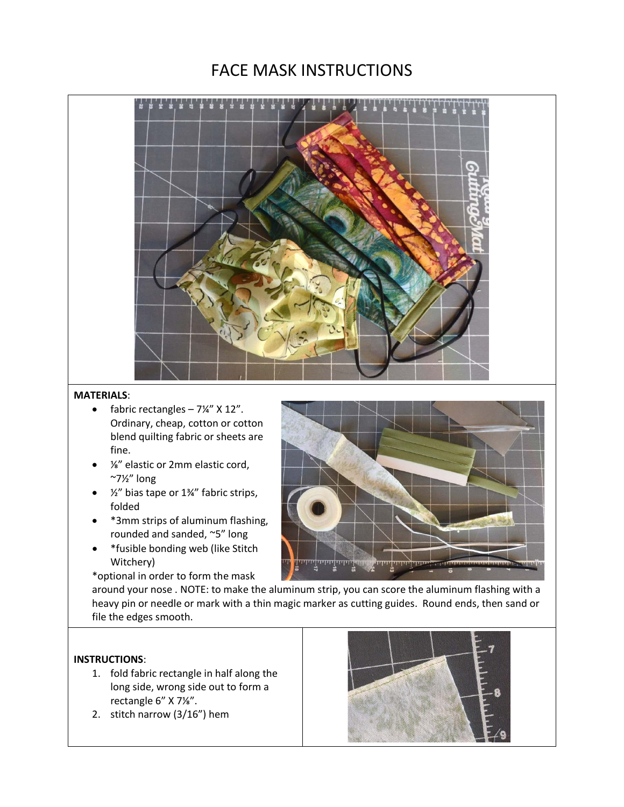## FACE MASK INSTRUCTIONS



## **MATERIALS**:

- fabric rectangles  $-7\frac{1}{4}$ " X 12". Ordinary, cheap, cotton or cotton blend quilting fabric or sheets are fine.
- ⅛" elastic or 2mm elastic cord,  $^{\sim}7\frac{1}{2}$ " long
- $\frac{1}{2}$  bias tape or 1¼" fabric strips, folded
- \*3mm strips of aluminum flashing, rounded and sanded, ~5" long
- \*fusible bonding web (like Stitch Witchery)

\*optional in order to form the mask



around your nose . NOTE: to make the aluminum strip, you can score the aluminum flashing with a heavy pin or needle or mark with a thin magic marker as cutting guides. Round ends, then sand or file the edges smooth.

## **INSTRUCTIONS**:

- 1. fold fabric rectangle in half along the long side, wrong side out to form a rectangle 6" X 7⅛".
- 2. stitch narrow (3/16") hem